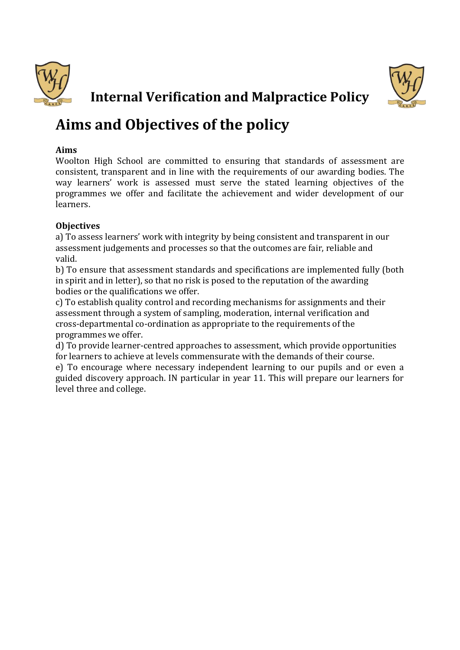



# **Internal Verification and Malpractice Policy**

# **Aims and Objectives of the policy**

## **Aims**

Woolton High School are committed to ensuring that standards of assessment are consistent, transparent and in line with the requirements of our awarding bodies. The way learners' work is assessed must serve the stated learning objectives of the programmes we offer and facilitate the achievement and wider development of our learners.

# **Objectives**

a) To assess learners' work with integrity by being consistent and transparent in our assessment judgements and processes so that the outcomes are fair, reliable and valid.

b) To ensure that assessment standards and specifications are implemented fully (both in spirit and in letter), so that no risk is posed to the reputation of the awarding bodies or the qualifications we offer.

c) To establish quality control and recording mechanisms for assignments and their assessment through a system of sampling, moderation, internal verification and cross-departmental co-ordination as appropriate to the requirements of the programmes we offer.

d) To provide learner-centred approaches to assessment, which provide opportunities for learners to achieve at levels commensurate with the demands of their course.

e) To encourage where necessary independent learning to our pupils and or even a guided discovery approach. IN particular in year 11. This will prepare our learners for level three and college.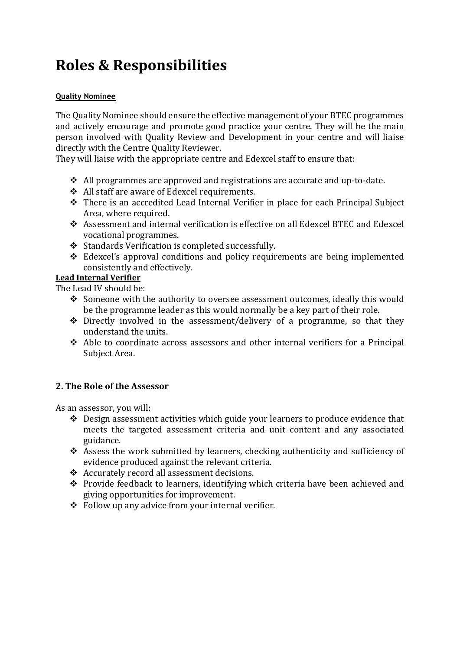# **Roles & Responsibilities**

#### **Quality Nominee**

The Quality Nominee should ensure the effective management of your BTEC programmes and actively encourage and promote good practice your centre. They will be the main person involved with Quality Review and Development in your centre and will liaise directly with the Centre Quality Reviewer.

They will liaise with the appropriate centre and Edexcel staff to ensure that:

- $\triangle$  All programmes are approved and registrations are accurate and up-to-date.
- ❖ All staff are aware of Edexcel requirements.
- ❖ There is an accredited Lead Internal Verifier in place for each Principal Subject Area, where required.
- ❖ Assessment and internal verification is effective on all Edexcel BTEC and Edexcel vocational programmes.
- ❖ Standards Verification is completed successfully.
- ❖ Edexcel's approval conditions and policy requirements are being implemented consistently and effectively.

#### **Lead Internal Verifier**

The Lead IV should be:

- ❖ Someone with the authority to oversee assessment outcomes, ideally this would be the programme leader as this would normally be a key part of their role.
- ❖ Directly involved in the assessment/delivery of a programme, so that they understand the units.
- ❖ Able to coordinate across assessors and other internal verifiers for a Principal Subject Area.

#### **2. The Role of the Assessor**

As an assessor, you will:

- ❖ Design assessment activities which guide your learners to produce evidence that meets the targeted assessment criteria and unit content and any associated guidance.
- ❖ Assess the work submitted by learners, checking authenticity and sufficiency of evidence produced against the relevant criteria.
- ❖ Accurately record all assessment decisions.
- ❖ Provide feedback to learners, identifying which criteria have been achieved and giving opportunities for improvement.
- ❖ Follow up any advice from your internal verifier.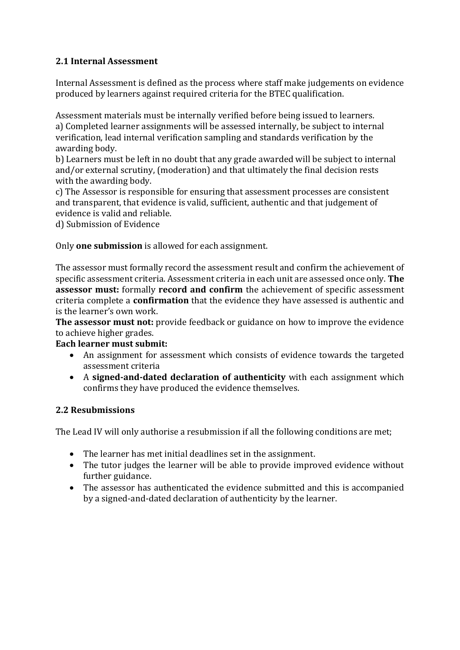# **2.1 Internal Assessment**

Internal Assessment is defined as the process where staff make judgements on evidence produced by learners against required criteria for the BTEC qualification.

Assessment materials must be internally verified before being issued to learners*.* a) Completed learner assignments will be assessed internally, be subject to internal verification, lead internal verification sampling and standards verification by the awarding body.

b) Learners must be left in no doubt that any grade awarded will be subject to internal and/or external scrutiny, (moderation) and that ultimately the final decision rests with the awarding body.

c) The Assessor is responsible for ensuring that assessment processes are consistent and transparent, that evidence is valid, sufficient, authentic and that judgement of evidence is valid and reliable.

d) Submission of Evidence

Only **one submission** is allowed for each assignment.

The assessor must formally record the assessment result and confirm the achievement of specific assessment criteria. Assessment criteria in each unit are assessed once only. **The assessor must:** formally **record and confirm** the achievement of specific assessment criteria complete a **confirmation** that the evidence they have assessed is authentic and is the learner's own work.

**The assessor must not:** provide feedback or guidance on how to improve the evidence to achieve higher grades.

#### **Each learner must submit:**

- An assignment for assessment which consists of evidence towards the targeted assessment criteria
- A **signed-and-dated declaration of authenticity** with each assignment which confirms they have produced the evidence themselves.

#### **2.2 Resubmissions**

The Lead IV will only authorise a resubmission if all the following conditions are met;

- The learner has met initial deadlines set in the assignment.
- The tutor judges the learner will be able to provide improved evidence without further guidance.
- The assessor has authenticated the evidence submitted and this is accompanied by a signed-and-dated declaration of authenticity by the learner.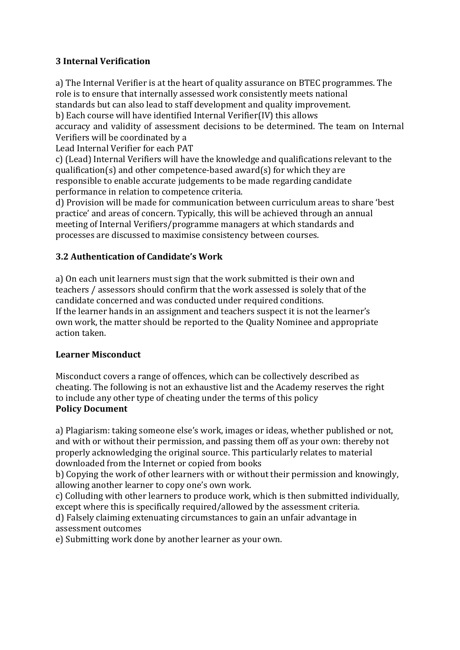# **3 Internal Verification**

a) The Internal Verifier is at the heart of quality assurance on BTEC programmes. The role is to ensure that internally assessed work consistently meets national standards but can also lead to staff development and quality improvement.

b) Each course will have identified Internal Verifier(IV) this allows

accuracy and validity of assessment decisions to be determined. The team on Internal Verifiers will be coordinated by a

Lead Internal Verifier for each PAT

c) (Lead) Internal Verifiers will have the knowledge and qualifications relevant to the qualification(s) and other competence-based award(s) for which they are responsible to enable accurate judgements to be made regarding candidate performance in relation to competence criteria.

d) Provision will be made for communication between curriculum areas to share 'best practice' and areas of concern. Typically, this will be achieved through an annual meeting of Internal Verifiers/programme managers at which standards and processes are discussed to maximise consistency between courses.

# **3.2 Authentication of Candidate's Work**

a) On each unit learners must sign that the work submitted is their own and teachers / assessors should confirm that the work assessed is solely that of the candidate concerned and was conducted under required conditions. If the learner hands in an assignment and teachers suspect it is not the learner's own work, the matter should be reported to the Quality Nominee and appropriate action taken.

#### **Learner Misconduct**

Misconduct covers a range of offences, which can be collectively described as cheating. The following is not an exhaustive list and the Academy reserves the right to include any other type of cheating under the terms of this policy **Policy Document**

a) Plagiarism: taking someone else's work, images or ideas, whether published or not, and with or without their permission, and passing them off as your own: thereby not properly acknowledging the original source. This particularly relates to material downloaded from the Internet or copied from books

b) Copying the work of other learners with or without their permission and knowingly, allowing another learner to copy one's own work.

c) Colluding with other learners to produce work, which is then submitted individually, except where this is specifically required/allowed by the assessment criteria.

d) Falsely claiming extenuating circumstances to gain an unfair advantage in assessment outcomes

e) Submitting work done by another learner as your own.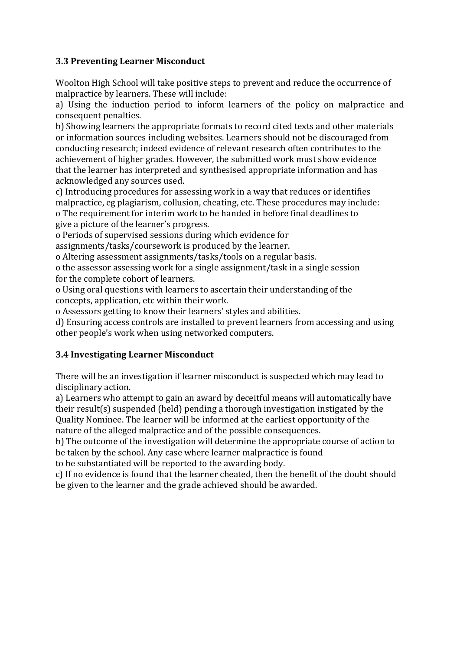### **3.3 Preventing Learner Misconduct**

Woolton High School will take positive steps to prevent and reduce the occurrence of malpractice by learners. These will include:

a) Using the induction period to inform learners of the policy on malpractice and consequent penalties.

b) Showing learners the appropriate formats to record cited texts and other materials or information sources including websites. Learners should not be discouraged from conducting research; indeed evidence of relevant research often contributes to the achievement of higher grades. However, the submitted work must show evidence that the learner has interpreted and synthesised appropriate information and has acknowledged any sources used.

c) Introducing procedures for assessing work in a way that reduces or identifies malpractice, eg plagiarism, collusion, cheating, etc. These procedures may include: o The requirement for interim work to be handed in before final deadlines to give a picture of the learner's progress.

o Periods of supervised sessions during which evidence for

assignments/tasks/coursework is produced by the learner.

o Altering assessment assignments/tasks/tools on a regular basis.

o the assessor assessing work for a single assignment/task in a single session for the complete cohort of learners.

o Using oral questions with learners to ascertain their understanding of the concepts, application, etc within their work.

o Assessors getting to know their learners' styles and abilities.

d) Ensuring access controls are installed to prevent learners from accessing and using other people's work when using networked computers.

# **3.4 Investigating Learner Misconduct**

There will be an investigation if learner misconduct is suspected which may lead to disciplinary action.

a) Learners who attempt to gain an award by deceitful means will automatically have their result(s) suspended (held) pending a thorough investigation instigated by the Quality Nominee. The learner will be informed at the earliest opportunity of the nature of the alleged malpractice and of the possible consequences.

b) The outcome of the investigation will determine the appropriate course of action to be taken by the school. Any case where learner malpractice is found

to be substantiated will be reported to the awarding body.

c) If no evidence is found that the learner cheated, then the benefit of the doubt should be given to the learner and the grade achieved should be awarded.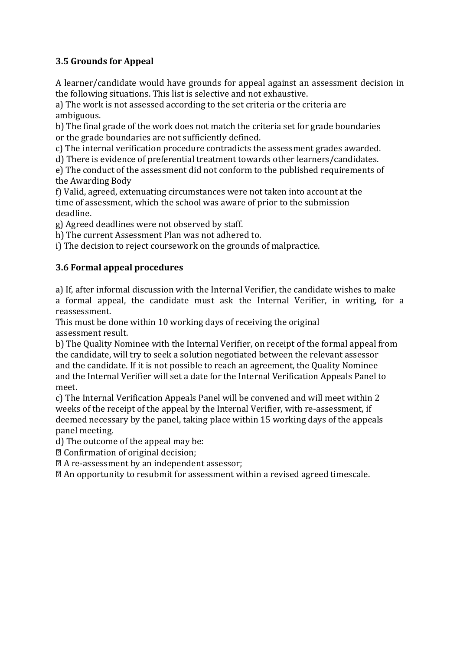# **3.5 Grounds for Appeal**

A learner/candidate would have grounds for appeal against an assessment decision in the following situations. This list is selective and not exhaustive.

a) The work is not assessed according to the set criteria or the criteria are ambiguous.

b) The final grade of the work does not match the criteria set for grade boundaries or the grade boundaries are not sufficiently defined.

c) The internal verification procedure contradicts the assessment grades awarded.

d) There is evidence of preferential treatment towards other learners/candidates.

e) The conduct of the assessment did not conform to the published requirements of the Awarding Body

f) Valid, agreed, extenuating circumstances were not taken into account at the time of assessment, which the school was aware of prior to the submission deadline.

g) Agreed deadlines were not observed by staff.

h) The current Assessment Plan was not adhered to.

i) The decision to reject coursework on the grounds of malpractice.

# **3.6 Formal appeal procedures**

a) If, after informal discussion with the Internal Verifier, the candidate wishes to make a formal appeal, the candidate must ask the Internal Verifier, in writing, for a reassessment.

This must be done within 10 working days of receiving the original assessment result.

b) The Quality Nominee with the Internal Verifier, on receipt of the formal appeal from the candidate, will try to seek a solution negotiated between the relevant assessor and the candidate. If it is not possible to reach an agreement, the Quality Nominee and the Internal Verifier will set a date for the Internal Verification Appeals Panel to meet.

c) The Internal Verification Appeals Panel will be convened and will meet within 2 weeks of the receipt of the appeal by the Internal Verifier, with re-assessment, if deemed necessary by the panel, taking place within 15 working days of the appeals panel meeting.

d) The outcome of the appeal may be:

Confirmation of original decision;

A re-assessment by an independent assessor;

An opportunity to resubmit for assessment within a revised agreed timescale.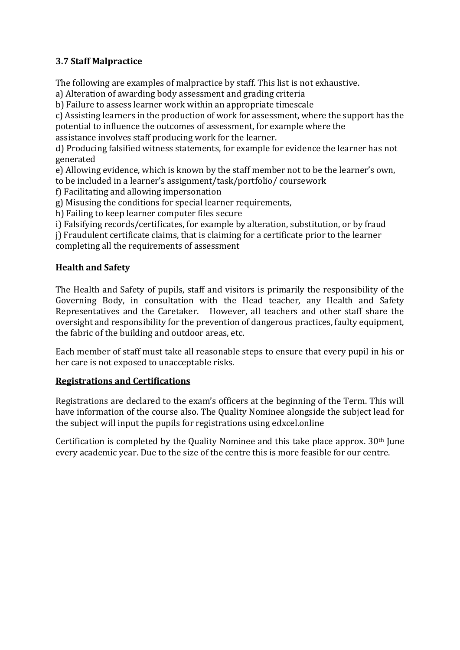# **3.7 Staff Malpractice**

The following are examples of malpractice by staff. This list is not exhaustive.

a) Alteration of awarding body assessment and grading criteria

b) Failure to assess learner work within an appropriate timescale

c) Assisting learners in the production of work for assessment, where the support has the potential to influence the outcomes of assessment, for example where the

assistance involves staff producing work for the learner.

d) Producing falsified witness statements, for example for evidence the learner has not generated

e) Allowing evidence, which is known by the staff member not to be the learner's own, to be included in a learner's assignment/task/portfolio/ coursework

f) Facilitating and allowing impersonation

g) Misusing the conditions for special learner requirements,

h) Failing to keep learner computer files secure

i) Falsifying records/certificates, for example by alteration, substitution, or by fraud

j) Fraudulent certificate claims, that is claiming for a certificate prior to the learner completing all the requirements of assessment

#### **Health and Safety**

The Health and Safety of pupils, staff and visitors is primarily the responsibility of the Governing Body, in consultation with the Head teacher, any Health and Safety Representatives and the Caretaker. However, all teachers and other staff share the oversight and responsibility for the prevention of dangerous practices, faulty equipment, the fabric of the building and outdoor areas, etc.

Each member of staff must take all reasonable steps to ensure that every pupil in his or her care is not exposed to unacceptable risks.

#### **Registrations and Certifications**

Registrations are declared to the exam's officers at the beginning of the Term. This will have information of the course also. The Quality Nominee alongside the subject lead for the subject will input the pupils for registrations using edxcel.online

Certification is completed by the Quality Nominee and this take place approx. 30th June every academic year. Due to the size of the centre this is more feasible for our centre.